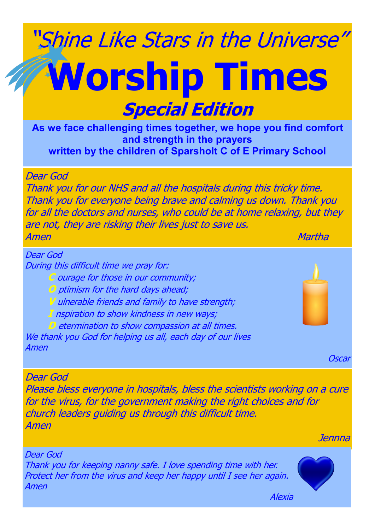## "Shine Like Stars in the Universe" **Worship Times Special Edition**

**As we face challenging times together, we hope you find comfort and strength in the prayers written by the children of Sparsholt C of E Primary School**

Dear God

Thank you for our NHS and all the hospitals during this tricky time. Thank you for everyone being brave and calming us down. Thank you for all the doctors and nurses, who could be at home relaxing, but they are not, they are risking their lives just to save us. Amen Martha and the contract of the contract of the contract of the contract of the contract of the contract o

During this difficult time we pray for: **C** ourage for those in our community; **O** ptimism for the hard days ahead; V ulnerable friends and family to have strength; **I** nspiration to show kindness in new ways; **D** etermination to show compassion at all times. We thank you God for helping us all, each day of our lives Amen you God for helping us all, each day of our lives us all, each day of our lives of our lives Dear God Amen

**Oscar** 

Dear God

Please bless everyone in hospitals, bless the scientists working on a cure for the virus, for the government making the right choices and for church leaders guiding us through this difficult time. Amen

Jennna

Dear God Thank you for keeping nanny safe. I love spending time with her. Protect her from the virus and keep her happy until I see her again. Amen